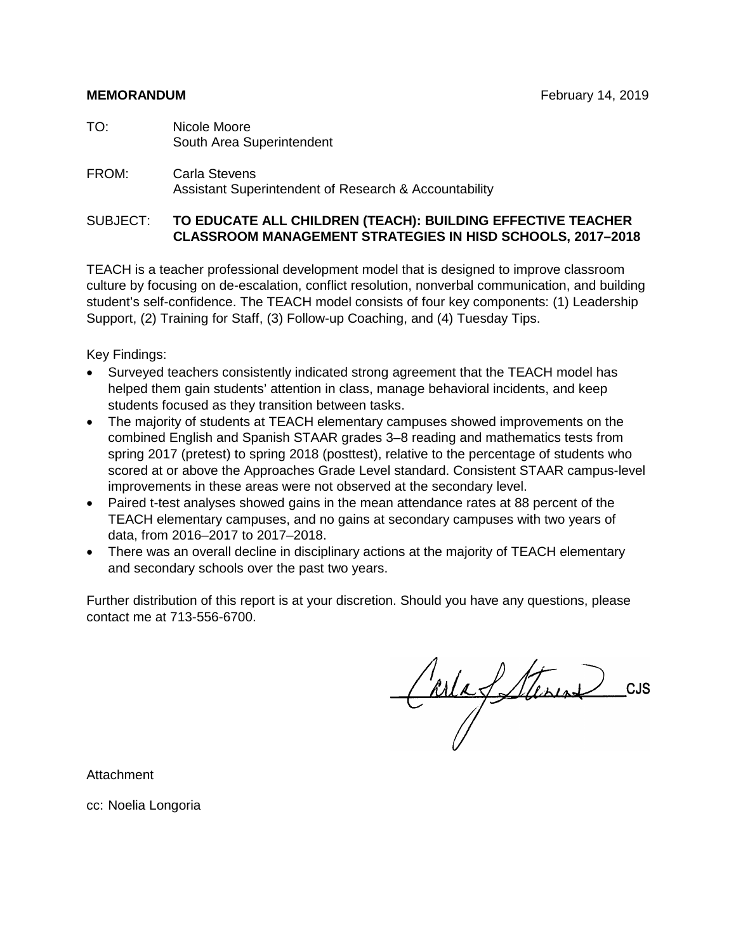- TO: Nicole Moore South Area Superintendent
- FROM: Carla Stevens Assistant Superintendent of Research & Accountability

#### SUBJECT: **TO EDUCATE ALL CHILDREN (TEACH): BUILDING EFFECTIVE TEACHER CLASSROOM MANAGEMENT STRATEGIES IN HISD SCHOOLS, 2017–2018**

TEACH is a teacher professional development model that is designed to improve classroom culture by focusing on de-escalation, conflict resolution, nonverbal communication, and building student's self-confidence. The TEACH model consists of four key components: (1) Leadership Support, (2) Training for Staff, (3) Follow-up Coaching, and (4) Tuesday Tips.

Key Findings:

- Surveyed teachers consistently indicated strong agreement that the TEACH model has helped them gain students' attention in class, manage behavioral incidents, and keep students focused as they transition between tasks.
- The majority of students at TEACH elementary campuses showed improvements on the combined English and Spanish STAAR grades 3–8 reading and mathematics tests from spring 2017 (pretest) to spring 2018 (posttest), relative to the percentage of students who scored at or above the Approaches Grade Level standard. Consistent STAAR campus-level improvements in these areas were not observed at the secondary level.
- Paired t-test analyses showed gains in the mean attendance rates at 88 percent of the TEACH elementary campuses, and no gains at secondary campuses with two years of data, from 2016–2017 to 2017–2018.
- There was an overall decline in disciplinary actions at the majority of TEACH elementary and secondary schools over the past two years.

Further distribution of this report is at your discretion. Should you have any questions, please contact me at 713-556-6700.

Carlafetterin

Attachment

cc: Noelia Longoria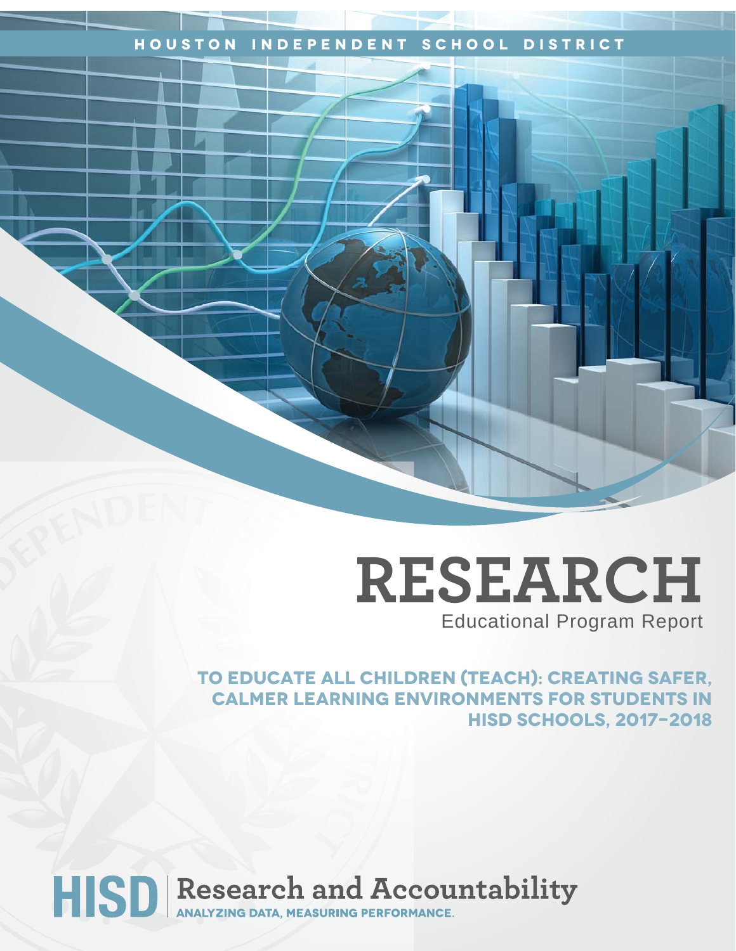### **Houston Independent School District**

# **RESEARCH** Educational Program Report

**To Educate All Children (TEACH): Creating Safer, Calmer Learning Environments for Students in HISD Schools, 2017-2018**

# HISD Research and Accountability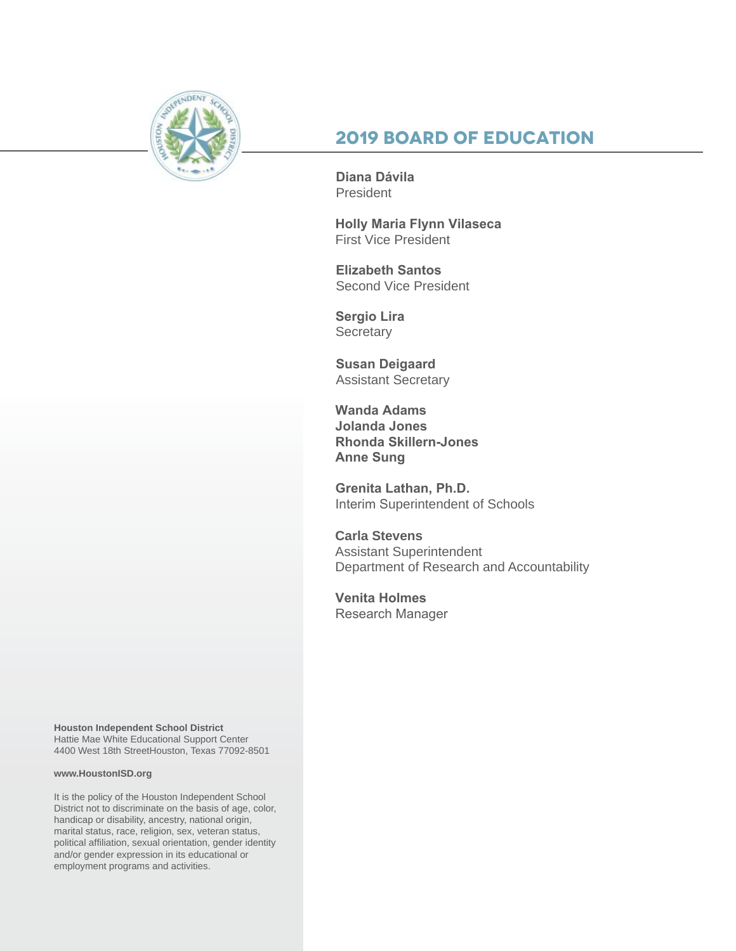

### **2019 Board of Education**

**Diana Dávila**  President

**Holly Maria Flynn Vilaseca** First Vice President

**Elizabeth Santos**  Second Vice President

**Sergio Lira Secretary** 

**Susan Deigaard** Assistant Secretary

**Wanda Adams Jolanda Jones Rhonda Skillern-Jones Anne Sung**

**Grenita Lathan, Ph.D.**  Interim Superintendent of Schools

**Carla Stevens** Assistant Superintendent Department of Research and Accountability

**Venita Holmes** Research Manager

**Houston Independent School District** Hattie Mae White Educational Support Center 4400 West 18th StreetHouston, Texas 77092-8501

#### **www.HoustonISD.org**

It is the policy of the Houston Independent School District not to discriminate on the basis of age, color, handicap or disability, ancestry, national origin, marital status, race, religion, sex, veteran status, political affiliation, sexual orientation, gender identity and/or gender expression in its educational or employment programs and activities.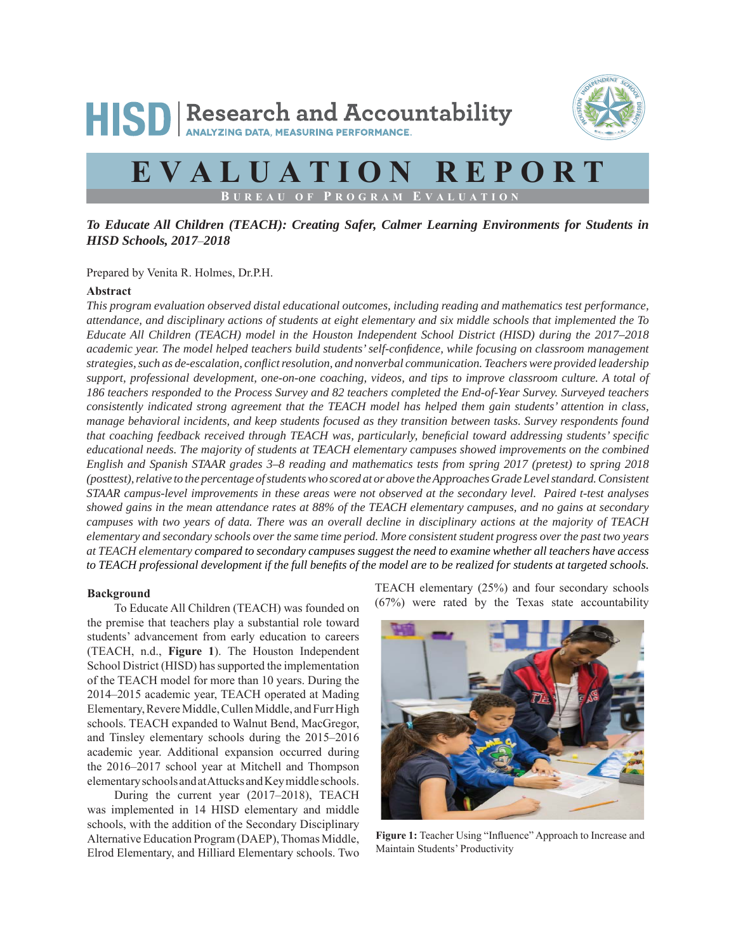# HISD Research and Accountability



## **EVALUATION REPORT B UREAU OF P ROGRAM E VALUATION**

#### *To Educate All Children (TEACH): Creating Safer, Calmer Learning Environments for Students in HISD Schools, 2017*–*2018*

Prepared by Venita R. Holmes, Dr.P.H.

#### **Abstract**

*This program evaluation observed distal educational outcomes, including reading and mathematics test performance, attendance, and disciplinary actions of students at eight elementary and six middle schools that implemented the To Educate All Children (TEACH) model in the Houston Independent School District (HISD) during the 2017–2018 academic year. The model helped teachers build students' self-confi dence, while focusing on classroom management strategies, such as de-escalation, confl ict resolution, and nonverbal communication. Teachers were provided leadership support, professional development, one-on-one coaching, videos, and tips to improve classroom culture. A total of 186 teachers responded to the Process Survey and 82 teachers completed the End-of-Year Survey. Surveyed teachers consistently indicated strong agreement that the TEACH model has helped them gain students' attention in class, manage behavioral incidents, and keep students focused as they transition between tasks. Survey respondents found that coaching feedback received through TEACH was, particularly, beneficial toward addressing students' specific educational needs. The majority of students at TEACH elementary campuses showed improvements on the combined English and Spanish STAAR grades 3–8 reading and mathematics tests from spring 2017 (pretest) to spring 2018 (posttest), relative to the percentage of students who scored at or above the Approaches Grade Level standard. Consistent STAAR campus-level improvements in these areas were not observed at the secondary level. Paired t-test analyses showed gains in the mean attendance rates at 88% of the TEACH elementary campuses, and no gains at secondary campuses with two years of data. There was an overall decline in disciplinary actions at the majority of TEACH elementary and secondary schools over the same time period. More consistent student progress over the past two years at TEACH elementary compared to secondary campuses suggest the need to examine whether all teachers have access to TEACH professional development if the full benefits of the model are to be realized for students at targeted schools.* 

#### **Background**

To Educate All Children (TEACH) was founded on the premise that teachers play a substantial role toward students' advancement from early education to careers (TEACH, n.d., **Figure 1**). The Houston Independent School District (HISD) has supported the implementation of the TEACH model for more than 10 years. During the 2014–2015 academic year, TEACH operated at Mading Elementary, Revere Middle, Cullen Middle, and Furr High schools. TEACH expanded to Walnut Bend, MacGregor, and Tinsley elementary schools during the 2015–2016 academic year. Additional expansion occurred during the 2016–2017 school year at Mitchell and Thompson elementary schools and at Attucks and Key middle schools.

During the current year (2017–2018), TEACH was implemented in 14 HISD elementary and middle schools, with the addition of the Secondary Disciplinary Alternative Education Program (DAEP), Thomas Middle, Elrod Elementary, and Hilliard Elementary schools. Two TEACH elementary (25%) and four secondary schools (67%) were rated by the Texas state accountability



Figure 1: Teacher Using "Influence" Approach to Increase and Maintain Students' Productivity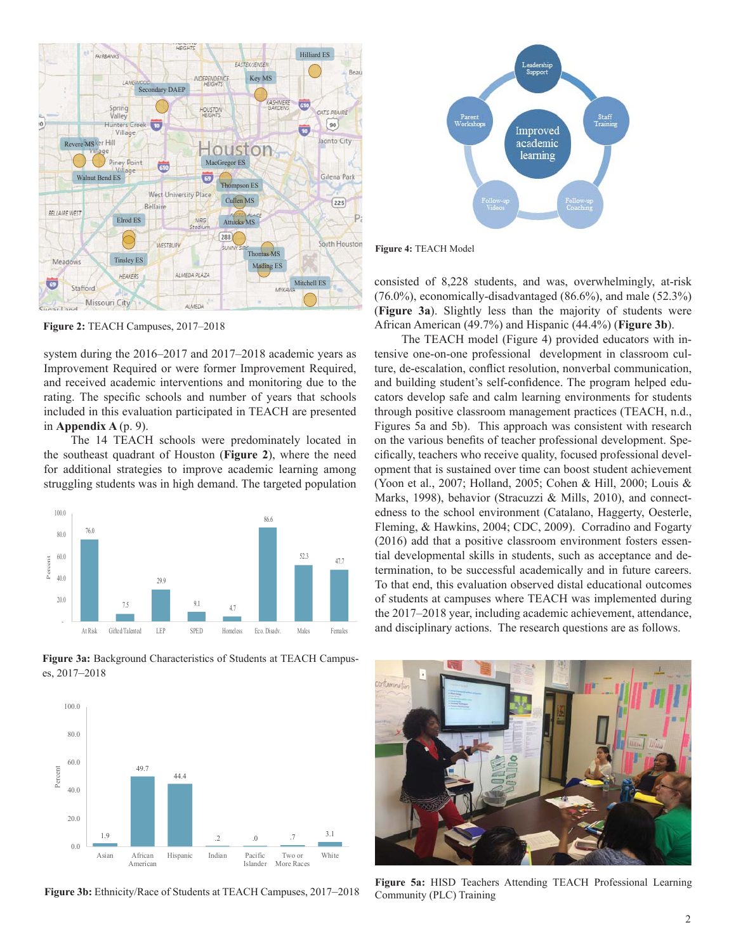

**Figure 2:** TEACH Campuses, 2017–2018

system during the 2016–2017 and 2017–2018 academic years as Improvement Required or were former Improvement Required, and received academic interventions and monitoring due to the rating. The specific schools and number of years that schools included in this evaluation participated in TEACH are presented in **Appendix A** (p. 9).

The 14 TEACH schools were predominately located in the southeast quadrant of Houston (**Figure 2**), where the need for additional strategies to improve academic learning among struggling students was in high demand. The targeted population



**Figure 3a:** Background Characteristics of Students at TEACH Campuses, 2017–2018



**Figure 3b:** Ethnicity/Race of Students at TEACH Campuses, 2017–2018



**Figure 4:** TEACH Model

consisted of 8,228 students, and was, overwhelmingly, at-risk (76.0%), economically-disadvantaged (86.6%), and male (52.3%) (**Figure 3a**). Slightly less than the majority of students were African American (49.7%) and Hispanic (44.4%) (**Figure 3b**).

The TEACH model (Figure 4) provided educators with intensive one-on-one professional development in classroom culture, de-escalation, conflict resolution, nonverbal communication, and building student's self-confidence. The program helped educators develop safe and calm learning environments for students through positive classroom management practices (TEACH, n.d., Figures 5a and 5b). This approach was consistent with research on the various benefits of teacher professional development. Specifically, teachers who receive quality, focused professional development that is sustained over time can boost student achievement (Yoon et al., 2007; Holland, 2005; Cohen & Hill, 2000; Louis & Marks, 1998), behavior (Stracuzzi & Mills, 2010), and connectedness to the school environment (Catalano, Haggerty, Oesterle, Fleming, & Hawkins, 2004; CDC, 2009). Corradino and Fogarty (2016) add that a positive classroom environment fosters essential developmental skills in students, such as acceptance and determination, to be successful academically and in future careers. To that end, this evaluation observed distal educational outcomes of students at campuses where TEACH was implemented during the 2017–2018 year, including academic achievement, attendance, and disciplinary actions. The research questions are as follows.



**Figure 5a:** HISD Teachers Attending TEACH Professional Learning Community (PLC) Training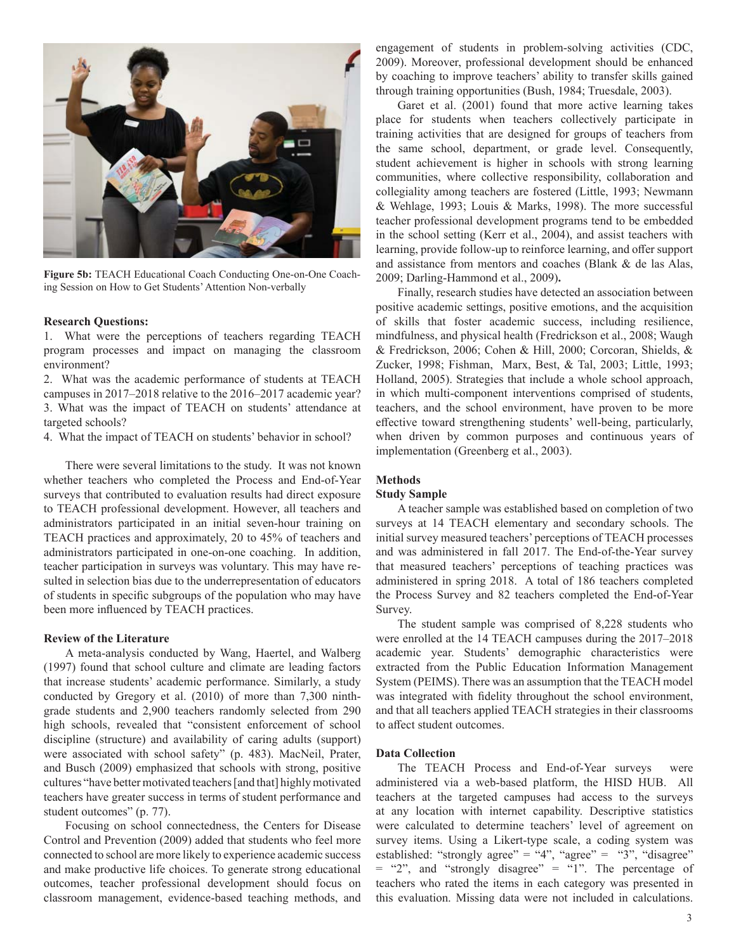

**Figure 5b:** TEACH Educational Coach Conducting One-on-One Coaching Session on How to Get Students' Attention Non-verbally

#### **Research Questions:**

1. What were the perceptions of teachers regarding TEACH program processes and impact on managing the classroom environment?

2. What was the academic performance of students at TEACH campuses in 2017–2018 relative to the 2016–2017 academic year? 3. What was the impact of TEACH on students' attendance at targeted schools?

4. What the impact of TEACH on students' behavior in school?

There were several limitations to the study. It was not known whether teachers who completed the Process and End-of-Year surveys that contributed to evaluation results had direct exposure to TEACH professional development. However, all teachers and administrators participated in an initial seven-hour training on TEACH practices and approximately, 20 to 45% of teachers and administrators participated in one-on-one coaching. In addition, teacher participation in surveys was voluntary. This may have resulted in selection bias due to the underrepresentation of educators of students in specific subgroups of the population who may have been more influenced by TEACH practices.

#### **Review of the Literature**

A meta-analysis conducted by Wang, Haertel, and Walberg (1997) found that school culture and climate are leading factors that increase students' academic performance. Similarly, a study conducted by Gregory et al. (2010) of more than 7,300 ninthgrade students and 2,900 teachers randomly selected from 290 high schools, revealed that "consistent enforcement of school discipline (structure) and availability of caring adults (support) were associated with school safety" (p. 483). MacNeil, Prater, and Busch (2009) emphasized that schools with strong, positive cultures "have better motivated teachers [and that] highly motivated teachers have greater success in terms of student performance and student outcomes" (p. 77).

Focusing on school connectedness, the Centers for Disease Control and Prevention (2009) added that students who feel more connected to school are more likely to experience academic success and make productive life choices. To generate strong educational outcomes, teacher professional development should focus on classroom management, evidence-based teaching methods, and engagement of students in problem-solving activities (CDC, 2009). Moreover, professional development should be enhanced by coaching to improve teachers' ability to transfer skills gained through training opportunities (Bush, 1984; Truesdale, 2003).

Garet et al. (2001) found that more active learning takes place for students when teachers collectively participate in training activities that are designed for groups of teachers from the same school, department, or grade level. Consequently, student achievement is higher in schools with strong learning communities, where collective responsibility, collaboration and collegiality among teachers are fostered (Little, 1993; Newmann & Wehlage, 1993; Louis & Marks, 1998). The more successful teacher professional development programs tend to be embedded in the school setting (Kerr et al., 2004), and assist teachers with learning, provide follow-up to reinforce learning, and offer support and assistance from mentors and coaches (Blank & de las Alas, 2009; Darling-Hammond et al., 2009)**.**

Finally, research studies have detected an association between positive academic settings, positive emotions, and the acquisition of skills that foster academic success, including resilience, mindfulness, and physical health (Fredrickson et al., 2008; Waugh & Fredrickson, 2006; Cohen & Hill, 2000; Corcoran, Shields, & Zucker, 1998; Fishman, Marx, Best, & Tal, 2003; Little, 1993; Holland, 2005). Strategies that include a whole school approach, in which multi-component interventions comprised of students, teachers, and the school environment, have proven to be more effective toward strengthening students' well-being, particularly, when driven by common purposes and continuous years of implementation (Greenberg et al., 2003).

#### **Methods**

#### **Study Sample**

A teacher sample was established based on completion of two surveys at 14 TEACH elementary and secondary schools. The initial survey measured teachers' perceptions of TEACH processes and was administered in fall 2017. The End-of-the-Year survey that measured teachers' perceptions of teaching practices was administered in spring 2018. A total of 186 teachers completed the Process Survey and 82 teachers completed the End-of-Year Survey.

The student sample was comprised of 8,228 students who were enrolled at the 14 TEACH campuses during the 2017–2018 academic year. Students' demographic characteristics were extracted from the Public Education Information Management System (PEIMS). There was an assumption that the TEACH model was integrated with fidelity throughout the school environment, and that all teachers applied TEACH strategies in their classrooms to affect student outcomes.

#### **Data Collection**

The TEACH Process and End-of-Year surveys were administered via a web-based platform, the HISD HUB. All teachers at the targeted campuses had access to the surveys at any location with internet capability. Descriptive statistics were calculated to determine teachers' level of agreement on survey items. Using a Likert-type scale, a coding system was established: "strongly agree" = "4", "agree" = "3", "disagree"  $=$  "2", and "strongly disagree"  $=$  "1". The percentage of teachers who rated the items in each category was presented in this evaluation. Missing data were not included in calculations.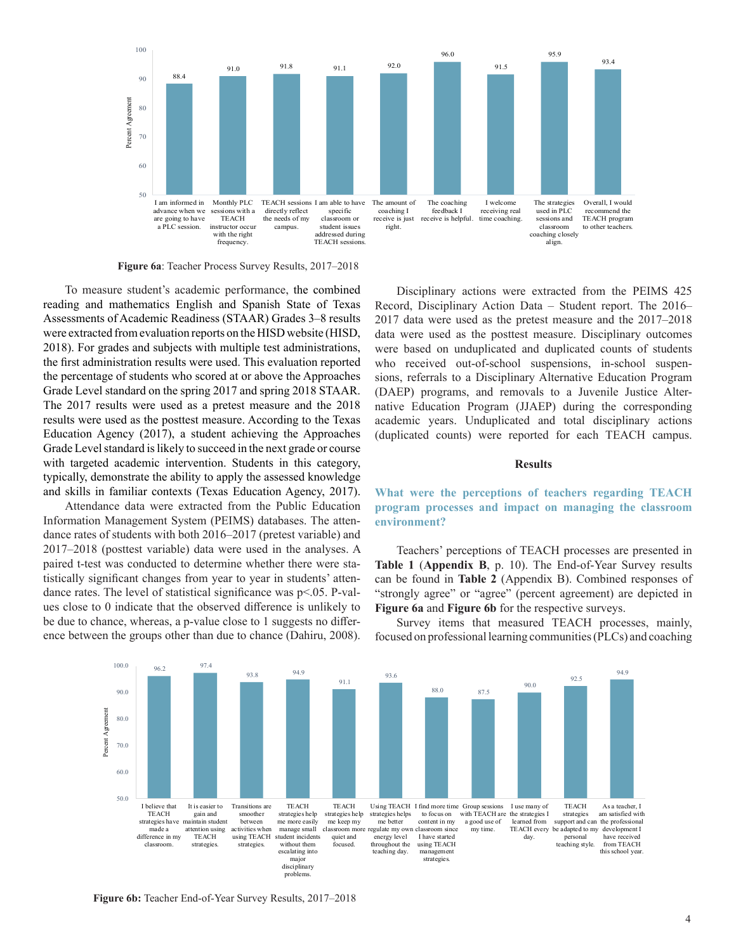

**Figure 6a**: Teacher Process Survey Results, 2017–2018

To measure student's academic performance, the combined reading and mathematics English and Spanish State of Texas Assessments of Academic Readiness (STAAR) Grades 3–8 results were extracted from evaluation reports on the HISD website (HISD, 2018). For grades and subjects with multiple test administrations, the first administration results were used. This evaluation reported the percentage of students who scored at or above the Approaches Grade Level standard on the spring 2017 and spring 2018 STAAR. The 2017 results were used as a pretest measure and the 2018 results were used as the posttest measure. According to the Texas Education Agency (2017), a student achieving the Approaches Grade Level standard is likely to succeed in the next grade or course with targeted academic intervention. Students in this category, typically, demonstrate the ability to apply the assessed knowledge and skills in familiar contexts (Texas Education Agency, 2017).

Attendance data were extracted from the Public Education Information Management System (PEIMS) databases. The attendance rates of students with both 2016–2017 (pretest variable) and 2017–2018 (posttest variable) data were used in the analyses. A paired t-test was conducted to determine whether there were statistically significant changes from year to year in students' attendance rates. The level of statistical significance was  $p<0.05$ . P-values close to 0 indicate that the observed difference is unlikely to be due to chance, whereas, a p-value close to  $1$  suggests no difference between the groups other than due to chance (Dahiru, 2008).

Disciplinary actions were extracted from the PEIMS 425 Record, Disciplinary Action Data – Student report. The 2016– 2017 data were used as the pretest measure and the 2017–2018 data were used as the posttest measure. Disciplinary outcomes were based on unduplicated and duplicated counts of students who received out-of-school suspensions, in-school suspensions, referrals to a Disciplinary Alternative Education Program (DAEP) programs, and removals to a Juvenile Justice Alternative Education Program (JJAEP) during the corresponding academic years. Unduplicated and total disciplinary actions (duplicated counts) were reported for each TEACH campus.

#### **Results**

**What were the perceptions of teachers regarding TEACH program processes and impact on managing the classroom environment?**

Teachers' perceptions of TEACH processes are presented in **Table 1** (**Appendix B**, p. 10). The End-of-Year Survey results can be found in **Table 2** (Appendix B). Combined responses of "strongly agree" or "agree" (percent agreement) are depicted in **Figure 6a** and **Figure 6b** for the respective surveys.

Survey items that measured TEACH processes, mainly, focused on professional learning communities (PLCs) and coaching



**Figure 6b:** Teacher End-of-Year Survey Results, 2017–2018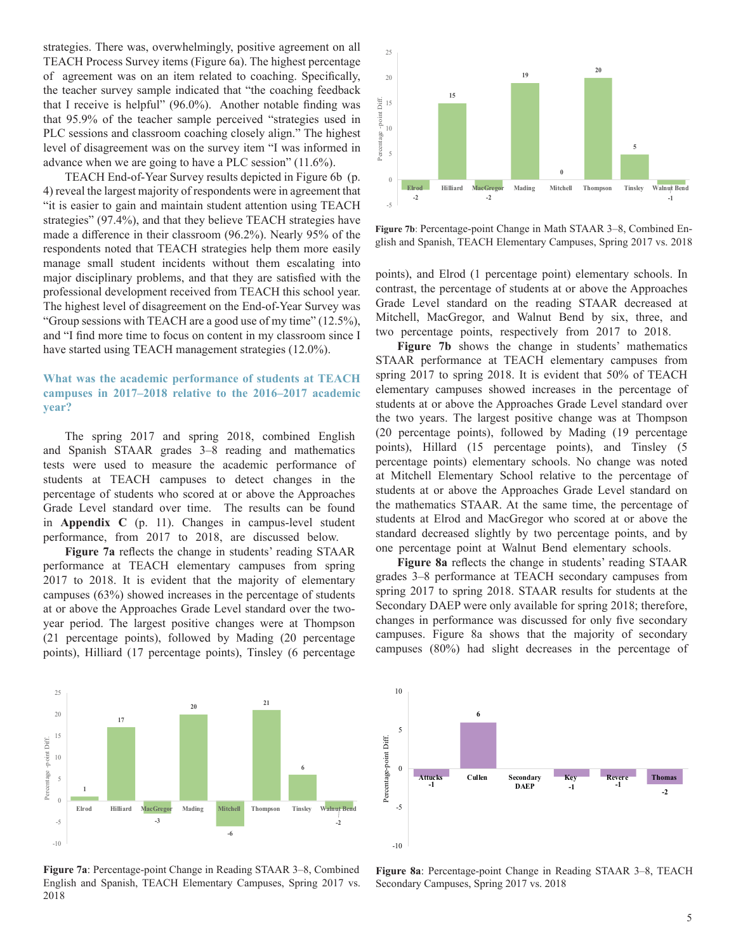strategies. There was, overwhelmingly, positive agreement on all TEACH Process Survey items (Figure 6a). The highest percentage of agreement was on an item related to coaching. Specifically, the teacher survey sample indicated that "the coaching feedback that I receive is helpful"  $(96.0\%)$ . Another notable finding was that 95.9% of the teacher sample perceived "strategies used in PLC sessions and classroom coaching closely align." The highest level of disagreement was on the survey item "I was informed in advance when we are going to have a PLC session" (11.6%).

TEACH End-of-Year Survey results depicted in Figure 6b (p. 4) reveal the largest majority of respondents were in agreement that "it is easier to gain and maintain student attention using TEACH strategies" (97.4%), and that they believe TEACH strategies have made a difference in their classroom (96.2%). Nearly 95% of the respondents noted that TEACH strategies help them more easily manage small student incidents without them escalating into major disciplinary problems, and that they are satisfied with the professional development received from TEACH this school year. The highest level of disagreement on the End-of-Year Survey was "Group sessions with TEACH are a good use of my time" (12.5%), and "I find more time to focus on content in my classroom since I have started using TEACH management strategies (12.0%).

#### **What was the academic performance of students at TEACH campuses in 2017–2018 relative to the 2016–2017 academic year?**

The spring 2017 and spring 2018, combined English and Spanish STAAR grades 3–8 reading and mathematics tests were used to measure the academic performance of students at TEACH campuses to detect changes in the percentage of students who scored at or above the Approaches Grade Level standard over time. The results can be found in **Appendix C** (p. 11). Changes in campus-level student performance, from 2017 to 2018, are discussed below.

Figure 7a reflects the change in students' reading STAAR performance at TEACH elementary campuses from spring 2017 to 2018. It is evident that the majority of elementary campuses (63%) showed increases in the percentage of students at or above the Approaches Grade Level standard over the twoyear period. The largest positive changes were at Thompson (21 percentage points), followed by Mading (20 percentage points), Hilliard (17 percentage points), Tinsley (6 percentage



**Figure 7b**: Percentage-point Change in Math STAAR 3–8, Combined English and Spanish, TEACH Elementary Campuses, Spring 2017 vs. 2018

points), and Elrod (1 percentage point) elementary schools. In contrast, the percentage of students at or above the Approaches Grade Level standard on the reading STAAR decreased at Mitchell, MacGregor, and Walnut Bend by six, three, and two percentage points, respectively from 2017 to 2018.

**Figure 7b** shows the change in students' mathematics STAAR performance at TEACH elementary campuses from spring 2017 to spring 2018. It is evident that 50% of TEACH elementary campuses showed increases in the percentage of students at or above the Approaches Grade Level standard over the two years. The largest positive change was at Thompson (20 percentage points), followed by Mading (19 percentage points), Hillard (15 percentage points), and Tinsley (5 percentage points) elementary schools. No change was noted at Mitchell Elementary School relative to the percentage of students at or above the Approaches Grade Level standard on the mathematics STAAR. At the same time, the percentage of students at Elrod and MacGregor who scored at or above the standard decreased slightly by two percentage points, and by one percentage point at Walnut Bend elementary schools.

Figure 8a reflects the change in students' reading STAAR grades 3–8 performance at TEACH secondary campuses from spring 2017 to spring 2018. STAAR results for students at the Secondary DAEP were only available for spring 2018; therefore, changes in performance was discussed for only five secondary campuses. Figure 8a shows that the majority of secondary campuses (80%) had slight decreases in the percentage of



**Figure 7a**: Percentage-point Change in Reading STAAR 3–8, Combined English and Spanish, TEACH Elementary Campuses, Spring 2017 vs. 2018



**Figure 8a**: Percentage-point Change in Reading STAAR 3–8, TEACH Secondary Campuses, Spring 2017 vs. 2018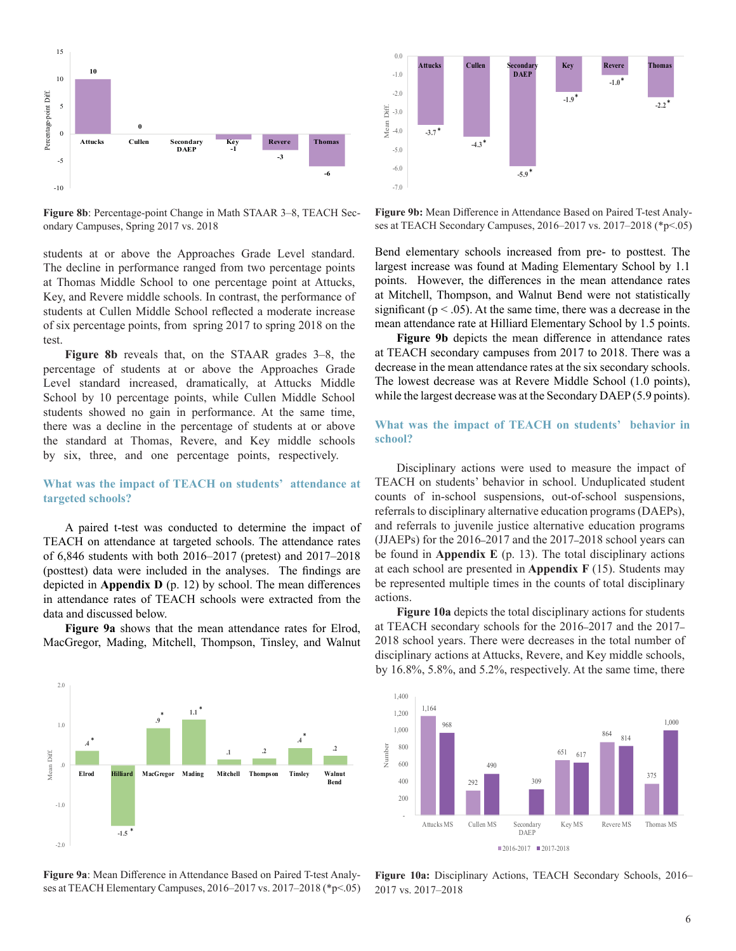

**Figure 8b**: Percentage-point Change in Math STAAR 3–8, TEACH Secondary Campuses, Spring 2017 vs. 2018

students at or above the Approaches Grade Level standard. The decline in performance ranged from two percentage points at Thomas Middle School to one percentage point at Attucks, Key, and Revere middle schools. In contrast, the performance of students at Cullen Middle School reflected a moderate increase of six percentage points, from spring 2017 to spring 2018 on the test.

**Figure 8b** reveals that, on the STAAR grades 3–8, the percentage of students at or above the Approaches Grade Level standard increased, dramatically, at Attucks Middle School by 10 percentage points, while Cullen Middle School students showed no gain in performance. At the same time, there was a decline in the percentage of students at or above the standard at Thomas, Revere, and Key middle schools by six, three, and one percentage points, respectively.

#### **What was the impact of TEACH on students' attendance at targeted schools?**

A paired t-test was conducted to determine the impact of TEACH on attendance at targeted schools. The attendance rates of 6,846 students with both 2016–2017 (pretest) and 2017–2018 (posttest) data were included in the analyses. The findings are depicted in **Appendix D** (p. 12) by school. The mean differences in attendance rates of TEACH schools were extracted from the data and discussed below.

**Figure 9a** shows that the mean attendance rates for Elrod, MacGregor, Mading, Mitchell, Thompson, Tinsley, and Walnut



Figure 9b: Mean Difference in Attendance Based on Paired T-test Analyses at TEACH Secondary Campuses, 2016–2017 vs. 2017–2018 (\*p<.05)

Bend elementary schools increased from pre- to posttest. The largest increase was found at Mading Elementary School by 1.1 points. However, the differences in the mean attendance rates at Mitchell, Thompson, and Walnut Bend were not statistically significant ( $p < .05$ ). At the same time, there was a decrease in the mean attendance rate at Hilliard Elementary School by 1.5 points.

Figure 9b depicts the mean difference in attendance rates at TEACH secondary campuses from 2017 to 2018. There was a decrease in the mean attendance rates at the six secondary schools. The lowest decrease was at Revere Middle School (1.0 points), while the largest decrease was at the Secondary DAEP (5.9 points).

#### **What was the impact of TEACH on students' behavior in school?**

Disciplinary actions were used to measure the impact of TEACH on students' behavior in school. Unduplicated student counts of in-school suspensions, out-of-school suspensions, referrals to disciplinary alternative education programs (DAEPs), and referrals to juvenile justice alternative education programs (JJAEPs) for the 2016**–**2017 and the 2017**–**2018 school years can be found in **Appendix E** (p. 13). The total disciplinary actions at each school are presented in **Appendix F** (15). Students may be represented multiple times in the counts of total disciplinary actions.

**Figure 10a** depicts the total disciplinary actions for students at TEACH secondary schools for the 2016**–**2017 and the 2017**–** 2018 school years. There were decreases in the total number of disciplinary actions at Attucks, Revere, and Key middle schools, by 16.8%, 5.8%, and 5.2%, respectively. At the same time, there



Figure 9a: Mean Difference in Attendance Based on Paired T-test Analyses at TEACH Elementary Campuses, 2016–2017 vs. 2017–2018 (\*p<.05)

-2.0

-1.0

.0

Mean Diff.

Mean Diff

1.0

2.0



**Figure 10a:** Disciplinary Actions, TEACH Secondary Schools, 2016– 2017 vs. 2017–2018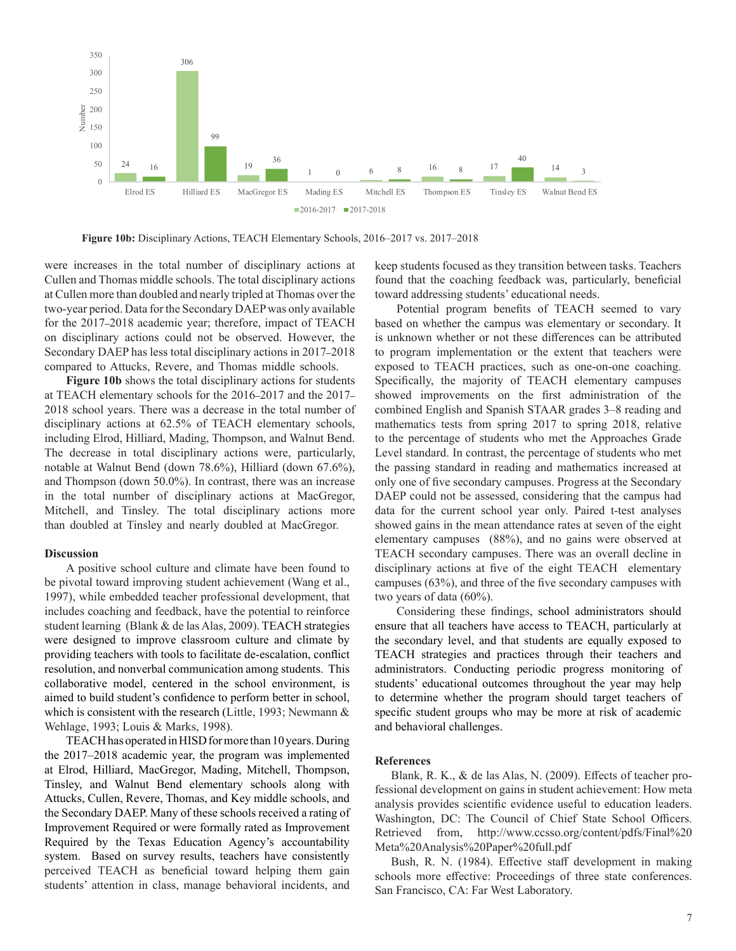

**Figure 10b:** Disciplinary Actions, TEACH Elementary Schools, 2016–2017 vs. 2017–2018

were increases in the total number of disciplinary actions at Cullen and Thomas middle schools. The total disciplinary actions at Cullen more than doubled and nearly tripled at Thomas over the two-year period. Data for the Secondary DAEP was only available for the 2017**–**2018 academic year; therefore, impact of TEACH on disciplinary actions could not be observed. However, the Secondary DAEP has less total disciplinary actions in 2017**–**2018 compared to Attucks, Revere, and Thomas middle schools.

**Figure 10b** shows the total disciplinary actions for students at TEACH elementary schools for the 2016**–**2017 and the 2017**–** 2018 school years. There was a decrease in the total number of disciplinary actions at 62.5% of TEACH elementary schools, including Elrod, Hilliard, Mading, Thompson, and Walnut Bend. The decrease in total disciplinary actions were, particularly, notable at Walnut Bend (down 78.6%), Hilliard (down 67.6%), and Thompson (down 50.0%). In contrast, there was an increase in the total number of disciplinary actions at MacGregor, Mitchell, and Tinsley. The total disciplinary actions more than doubled at Tinsley and nearly doubled at MacGregor.

#### **Discussion**

A positive school culture and climate have been found to be pivotal toward improving student achievement (Wang et al., 1997), while embedded teacher professional development, that includes coaching and feedback, have the potential to reinforce student learning (Blank & de las Alas, 2009). TEACH strategies were designed to improve classroom culture and climate by providing teachers with tools to facilitate de-escalation, conflict resolution, and nonverbal communication among students. This collaborative model, centered in the school environment, is aimed to build student's confidence to perform better in school, which is consistent with the research (Little, 1993; Newmann & Wehlage, 1993; Louis & Marks, 1998).

TEACH has operated in HISD for more than 10 years. During the 2017–2018 academic year, the program was implemented at Elrod, Hilliard, MacGregor, Mading, Mitchell, Thompson, Tinsley, and Walnut Bend elementary schools along with Attucks, Cullen, Revere, Thomas, and Key middle schools, and the Secondary DAEP. Many of these schools received a rating of Improvement Required or were formally rated as Improvement Required by the Texas Education Agency's accountability system. Based on survey results, teachers have consistently perceived TEACH as beneficial toward helping them gain students' attention in class, manage behavioral incidents, and

keep students focused as they transition between tasks. Teachers found that the coaching feedback was, particularly, beneficial toward addressing students' educational needs.

Potential program benefits of TEACH seemed to vary based on whether the campus was elementary or secondary. It is unknown whether or not these differences can be attributed to program implementation or the extent that teachers were exposed to TEACH practices, such as one-on-one coaching. Specifically, the majority of TEACH elementary campuses showed improvements on the first administration of the combined English and Spanish STAAR grades 3–8 reading and mathematics tests from spring 2017 to spring 2018, relative to the percentage of students who met the Approaches Grade Level standard. In contrast, the percentage of students who met the passing standard in reading and mathematics increased at only one of five secondary campuses. Progress at the Secondary DAEP could not be assessed, considering that the campus had data for the current school year only. Paired t-test analyses showed gains in the mean attendance rates at seven of the eight elementary campuses (88%), and no gains were observed at TEACH secondary campuses. There was an overall decline in disciplinary actions at five of the eight TEACH elementary campuses  $(63%)$ , and three of the five secondary campuses with two years of data (60%).

Considering these findings, school administrators should ensure that all teachers have access to TEACH, particularly at the secondary level, and that students are equally exposed to TEACH strategies and practices through their teachers and administrators. Conducting periodic progress monitoring of students' educational outcomes throughout the year may help to determine whether the program should target teachers of specific student groups who may be more at risk of academic and behavioral challenges.

#### **References**

Blank, R. K., & de las Alas, N. (2009). Effects of teacher professional development on gains in student achievement: How meta analysis provides scientific evidence useful to education leaders. Washington, DC: The Council of Chief State School Officers. Retrieved from, http://www.ccsso.org/content/pdfs/Final%20 Meta%20Analysis%20Paper%20full.pdf

Bush, R. N. (1984). Effective staff development in making schools more effective: Proceedings of three state conferences. San Francisco, CA: Far West Laboratory.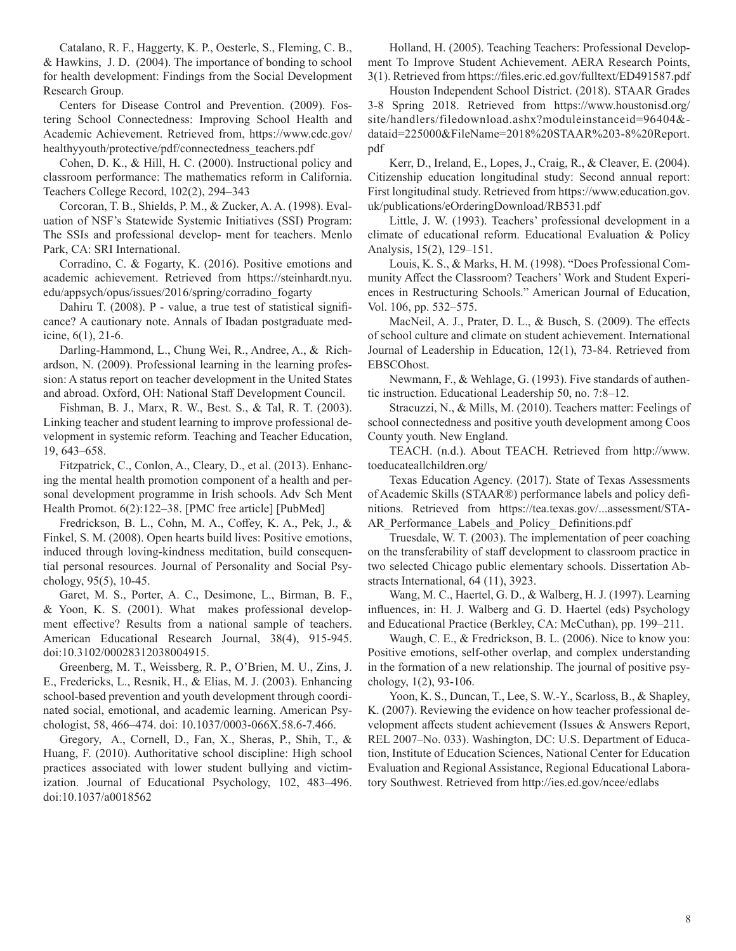Catalano, R. F., Haggerty, K. P., Oesterle, S., Fleming, C. B., & Hawkins, J. D. (2004). The importance of bonding to school for health development: Findings from the Social Development Research Group.

Centers for Disease Control and Prevention. (2009). Fostering School Connectedness: Improving School Health and Academic Achievement. Retrieved from, https://www.cdc.gov/ healthyyouth/protective/pdf/connectedness\_teachers.pdf

Cohen, D. K., & Hill, H. C. (2000). Instructional policy and classroom performance: The mathematics reform in California. Teachers College Record, 102(2), 294–343

Corcoran, T. B., Shields, P. M., & Zucker, A. A. (1998). Evaluation of NSF's Statewide Systemic Initiatives (SSI) Program: The SSIs and professional develop- ment for teachers. Menlo Park, CA: SRI International.

Corradino, C. & Fogarty, K. (2016). Positive emotions and academic achievement. Retrieved from https://steinhardt.nyu. edu/appsych/opus/issues/2016/spring/corradino\_fogarty

Dahiru T. (2008). P - value, a true test of statistical significance? A cautionary note. Annals of Ibadan postgraduate medicine, 6(1), 21-6.

Darling-Hammond, L., Chung Wei, R., Andree, A., & Richardson, N. (2009). Professional learning in the learning profession: A status report on teacher development in the United States and abroad. Oxford, OH: National Staff Development Council.

Fishman, B. J., Marx, R. W., Best. S., & Tal, R. T. (2003). Linking teacher and student learning to improve professional development in systemic reform. Teaching and Teacher Education, 19, 643–658.

Fitzpatrick, C., Conlon, A., Cleary, D., et al. (2013). Enhancing the mental health promotion component of a health and personal development programme in Irish schools. Adv Sch Ment Health Promot. 6(2):122–38. [PMC free article] [PubMed]

Fredrickson, B. L., Cohn, M. A., Coffey, K. A., Pek, J., & Finkel, S. M. (2008). Open hearts build lives: Positive emotions, induced through loving-kindness meditation, build consequential personal resources. Journal of Personality and Social Psychology, 95(5), 10-45.

Garet, M. S., Porter, A. C., Desimone, L., Birman, B. F., & Yoon, K. S. (2001). What makes professional development effective? Results from a national sample of teachers. American Educational Research Journal, 38(4), 915-945. doi:10.3102/00028312038004915.

Greenberg, M. T., Weissberg, R. P., O'Brien, M. U., Zins, J. E., Fredericks, L., Resnik, H., & Elias, M. J. (2003). Enhancing school-based prevention and youth development through coordinated social, emotional, and academic learning. American Psychologist, 58, 466–474. doi: 10.1037/0003-066X.58.6-7.466.

Gregory, A., Cornell, D., Fan, X., Sheras, P., Shih, T., & Huang, F. (2010). Authoritative school discipline: High school practices associated with lower student bullying and victimization. Journal of Educational Psychology, 102, 483–496. doi:10.1037/a0018562

Holland, H. (2005). Teaching Teachers: Professional Development To Improve Student Achievement. AERA Research Points, 3(1). Retrieved from https://fi les.eric.ed.gov/fulltext/ED491587.pdf

Houston Independent School District. (2018). STAAR Grades 3-8 Spring 2018. Retrieved from https://www.houstonisd.org/ site/handlers/filedownload.ashx?moduleinstanceid=96404& dataid=225000&FileName=2018%20STAAR%203-8%20Report. pdf

Kerr, D., Ireland, E., Lopes, J., Craig, R., & Cleaver, E. (2004). Citizenship education longitudinal study: Second annual report: First longitudinal study. Retrieved from https://www.education.gov. uk/publications/eOrderingDownload/RB531.pdf

Little, J. W. (1993). Teachers' professional development in a climate of educational reform. Educational Evaluation & Policy Analysis, 15(2), 129–151.

Louis, K. S., & Marks, H. M. (1998). "Does Professional Community Affect the Classroom? Teachers' Work and Student Experiences in Restructuring Schools." American Journal of Education, Vol. 106, pp. 532–575.

MacNeil, A. J., Prater, D. L., & Busch, S. (2009). The effects of school culture and climate on student achievement. International Journal of Leadership in Education, 12(1), 73-84. Retrieved from EBSCOhost.

Newmann, F., & Wehlage, G. (1993). Five standards of authentic instruction. Educational Leadership 50, no. 7:8–12.

Stracuzzi, N., & Mills, M. (2010). Teachers matter: Feelings of school connectedness and positive youth development among Coos County youth. New England.

TEACH. (n.d.). About TEACH. Retrieved from http://www. toeducateallchildren.org/

Texas Education Agency. (2017). State of Texas Assessments of Academic Skills (STAAR®) performance labels and policy defi nitions. Retrieved from https://tea.texas.gov/...assessment/STA-AR Performance Labels and Policy Definitions.pdf

Truesdale, W. T. (2003). The implementation of peer coaching on the transferability of staff development to classroom practice in two selected Chicago public elementary schools. Dissertation Abstracts International, 64 (11), 3923.

Wang, M. C., Haertel, G. D., & Walberg, H. J. (1997). Learning influences, in: H. J. Walberg and G. D. Haertel (eds) Psychology and Educational Practice (Berkley, CA: McCuthan), pp. 199–211.

Waugh, C. E., & Fredrickson, B. L. (2006). Nice to know you: Positive emotions, self-other overlap, and complex understanding in the formation of a new relationship. The journal of positive psychology, 1(2), 93-106.

Yoon, K. S., Duncan, T., Lee, S. W.-Y., Scarloss, B., & Shapley, K. (2007). Reviewing the evidence on how teacher professional development affects student achievement (Issues & Answers Report, REL 2007–No. 033). Washington, DC: U.S. Department of Education, Institute of Education Sciences, National Center for Education Evaluation and Regional Assistance, Regional Educational Laboratory Southwest. Retrieved from http://ies.ed.gov/ncee/edlabs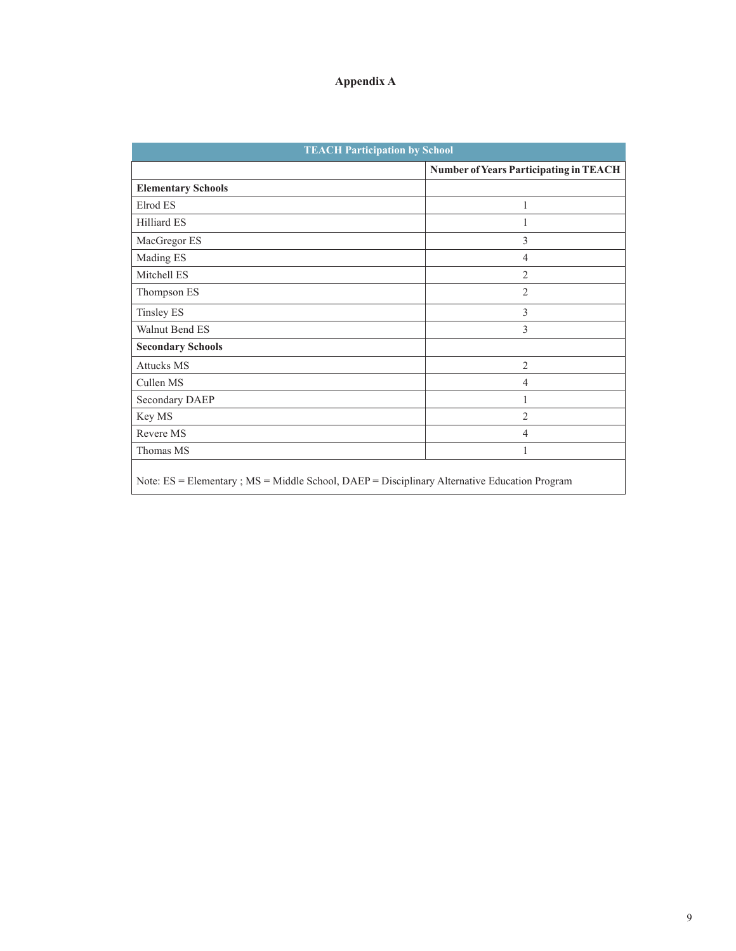| <b>TEACH Participation by School</b>                                                          |                                        |  |  |  |  |  |  |  |
|-----------------------------------------------------------------------------------------------|----------------------------------------|--|--|--|--|--|--|--|
|                                                                                               | Number of Years Participating in TEACH |  |  |  |  |  |  |  |
| <b>Elementary Schools</b>                                                                     |                                        |  |  |  |  |  |  |  |
| Elrod ES                                                                                      | 1                                      |  |  |  |  |  |  |  |
| Hilliard ES                                                                                   | 1                                      |  |  |  |  |  |  |  |
| MacGregor ES                                                                                  | 3                                      |  |  |  |  |  |  |  |
| Mading ES                                                                                     | $\overline{4}$                         |  |  |  |  |  |  |  |
| Mitchell ES                                                                                   | $\overline{2}$                         |  |  |  |  |  |  |  |
| Thompson ES                                                                                   | $\overline{2}$                         |  |  |  |  |  |  |  |
| <b>Tinsley ES</b>                                                                             | 3                                      |  |  |  |  |  |  |  |
| Walnut Bend ES                                                                                | 3                                      |  |  |  |  |  |  |  |
| <b>Secondary Schools</b>                                                                      |                                        |  |  |  |  |  |  |  |
| <b>Attucks MS</b>                                                                             | $\overline{2}$                         |  |  |  |  |  |  |  |
| Cullen MS                                                                                     | $\overline{4}$                         |  |  |  |  |  |  |  |
| Secondary DAEP                                                                                | 1                                      |  |  |  |  |  |  |  |
| Key MS                                                                                        | $\overline{2}$                         |  |  |  |  |  |  |  |
| Revere MS                                                                                     | $\overline{4}$                         |  |  |  |  |  |  |  |
| Thomas MS                                                                                     | 1                                      |  |  |  |  |  |  |  |
| Note: ES = Elementary ; MS = Middle School, DAEP = Disciplinary Alternative Education Program |                                        |  |  |  |  |  |  |  |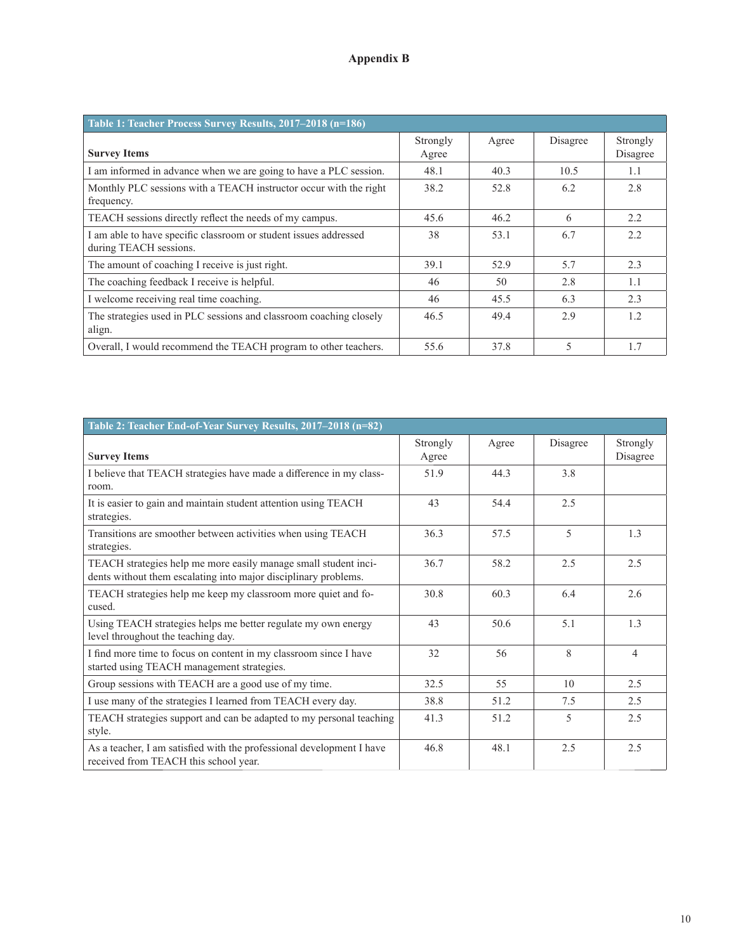#### **Appendix B**

| Table 1: Teacher Process Survey Results, 2017–2018 (n=186)                                 |                   |       |          |                      |  |  |  |  |  |
|--------------------------------------------------------------------------------------------|-------------------|-------|----------|----------------------|--|--|--|--|--|
| <b>Survey Items</b>                                                                        | Strongly<br>Agree | Agree | Disagree | Strongly<br>Disagree |  |  |  |  |  |
| I am informed in advance when we are going to have a PLC session.                          | 48.1              | 40.3  | 10.5     | 1.1                  |  |  |  |  |  |
| Monthly PLC sessions with a TEACH instructor occur with the right<br>frequency.            | 38.2              | 52.8  | 6.2      | 2.8                  |  |  |  |  |  |
| TEACH sessions directly reflect the needs of my campus.                                    | 45.6              | 46.2  | 6        | 2.2                  |  |  |  |  |  |
| I am able to have specific classroom or student issues addressed<br>during TEACH sessions. | 38                | 53.1  | 6.7      | 2.2                  |  |  |  |  |  |
| The amount of coaching I receive is just right.                                            | 39.1              | 52.9  | 5.7      | 2.3                  |  |  |  |  |  |
| The coaching feedback I receive is helpful.                                                | 46                | 50    | 2.8      | 1.1                  |  |  |  |  |  |
| I welcome receiving real time coaching.                                                    | 46                | 45.5  | 6.3      | 2.3                  |  |  |  |  |  |
| The strategies used in PLC sessions and classroom coaching closely<br>align.               | 46.5              | 49.4  | 2.9      | 1.2                  |  |  |  |  |  |
| Overall, I would recommend the TEACH program to other teachers.                            | 55.6              | 37.8  | 5        | 1.7                  |  |  |  |  |  |

| Table 2: Teacher End-of-Year Survey Results, 2017-2018 (n=82)                                                                      |                   |       |          |                      |  |  |  |  |  |
|------------------------------------------------------------------------------------------------------------------------------------|-------------------|-------|----------|----------------------|--|--|--|--|--|
| <b>Survey Items</b>                                                                                                                | Strongly<br>Agree | Agree | Disagree | Strongly<br>Disagree |  |  |  |  |  |
| I believe that TEACH strategies have made a difference in my class-<br>room.                                                       | 51.9              | 44.3  | 3.8      |                      |  |  |  |  |  |
| It is easier to gain and maintain student attention using TEACH<br>strategies.                                                     | 43                | 54.4  | 2.5      |                      |  |  |  |  |  |
| Transitions are smoother between activities when using TEACH<br>strategies.                                                        | 36.3              | 57.5  | 5        | 1.3                  |  |  |  |  |  |
| TEACH strategies help me more easily manage small student inci-<br>dents without them escalating into major disciplinary problems. | 36.7              | 58.2  | 2.5      | 2.5                  |  |  |  |  |  |
| TEACH strategies help me keep my classroom more quiet and fo-<br>cused.                                                            | 30.8              | 60.3  | 6.4      | 2.6                  |  |  |  |  |  |
| Using TEACH strategies helps me better regulate my own energy<br>level throughout the teaching day.                                | 43                | 50.6  | 5.1      | 1.3                  |  |  |  |  |  |
| I find more time to focus on content in my classroom since I have<br>started using TEACH management strategies.                    | 32                | 56    | 8        | 4                    |  |  |  |  |  |
| Group sessions with TEACH are a good use of my time.                                                                               | 32.5              | 55    | 10       | 2.5                  |  |  |  |  |  |
| I use many of the strategies I learned from TEACH every day.                                                                       | 38.8              | 51.2  | 7.5      | 2.5                  |  |  |  |  |  |
| TEACH strategies support and can be adapted to my personal teaching<br>style.                                                      | 41.3              | 51.2  | 5        | 2.5                  |  |  |  |  |  |
| As a teacher, I am satisfied with the professional development I have<br>received from TEACH this school year.                     | 46.8              | 48.1  | 2.5      | 2.5                  |  |  |  |  |  |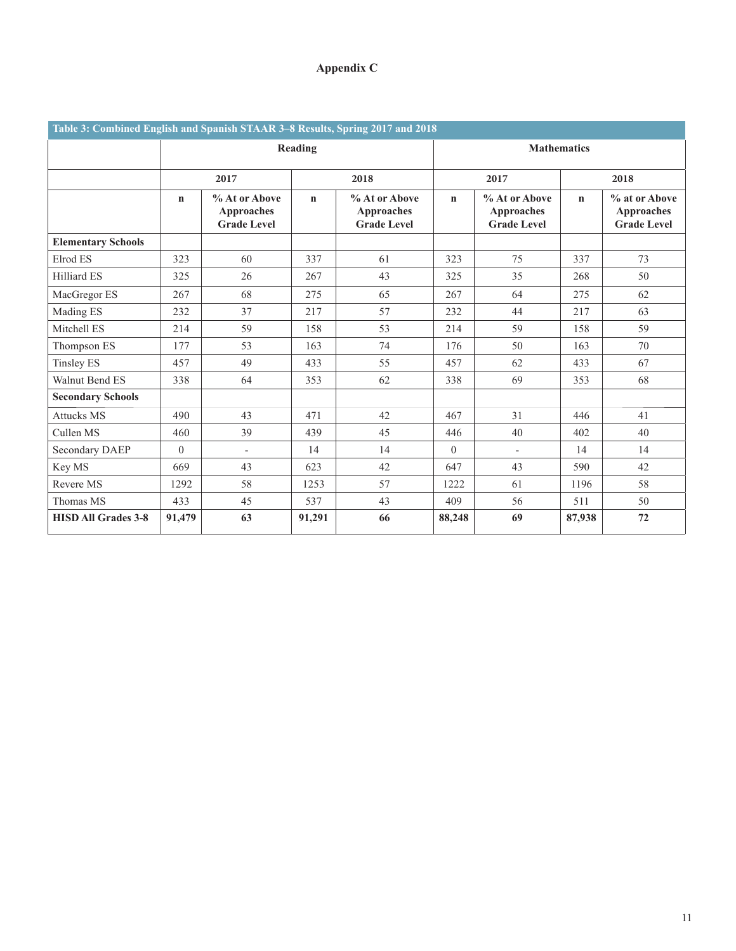#### **Appendix C**

| Table 3: Combined English and Spanish STAAR 3-8 Results, Spring 2017 and 2018 |             |                                                   |             |                                                          |                                                                         |                          |             |                                                          |  |  |
|-------------------------------------------------------------------------------|-------------|---------------------------------------------------|-------------|----------------------------------------------------------|-------------------------------------------------------------------------|--------------------------|-------------|----------------------------------------------------------|--|--|
|                                                                               |             |                                                   | Reading     |                                                          | <b>Mathematics</b>                                                      |                          |             |                                                          |  |  |
|                                                                               |             | 2017                                              |             | 2018                                                     |                                                                         | 2017                     |             | 2018                                                     |  |  |
|                                                                               | $\mathbf n$ | % At or Above<br>Approaches<br><b>Grade Level</b> | $\mathbf n$ | % At or Above<br><b>Approaches</b><br><b>Grade Level</b> | % At or Above<br>$\mathbf n$<br><b>Approaches</b><br><b>Grade Level</b> |                          | $\mathbf n$ | % at or Above<br><b>Approaches</b><br><b>Grade Level</b> |  |  |
| <b>Elementary Schools</b>                                                     |             |                                                   |             |                                                          |                                                                         |                          |             |                                                          |  |  |
| Elrod ES                                                                      | 323         | 60                                                | 337         | 61                                                       | 323                                                                     | 75                       | 337         | 73                                                       |  |  |
| Hilliard ES                                                                   | 325         | 26                                                | 267         | 43                                                       | 325                                                                     | 35                       | 268         | 50                                                       |  |  |
| MacGregor ES                                                                  | 267         | 68                                                | 275         | 65                                                       | 267                                                                     | 64                       | 275         | 62                                                       |  |  |
| Mading ES                                                                     | 232         | 37                                                | 217<br>57   |                                                          | 232                                                                     | 44                       | 217         | 63                                                       |  |  |
| Mitchell ES                                                                   | 214         | 59                                                | 158         | 53                                                       | 214                                                                     | 59                       | 158         | 59                                                       |  |  |
| Thompson ES                                                                   | 177         | 53                                                | 163         | 74                                                       | 176                                                                     | 50                       | 163         | 70                                                       |  |  |
| <b>Tinsley ES</b>                                                             | 457         | 49                                                | 433         | 55                                                       | 457                                                                     | 62                       | 433         | 67                                                       |  |  |
| Walnut Bend ES                                                                | 338         | 64                                                | 353         | 62                                                       | 338                                                                     | 69                       | 353         | 68                                                       |  |  |
| <b>Secondary Schools</b>                                                      |             |                                                   |             |                                                          |                                                                         |                          |             |                                                          |  |  |
| <b>Attucks MS</b>                                                             | 490         | 43                                                | 471         | 42                                                       | 467                                                                     | 31                       | 446         | 41                                                       |  |  |
| Cullen MS                                                                     | 460         | 39                                                | 439         | 45                                                       | 446                                                                     | 40                       | 402         | 40                                                       |  |  |
| Secondary DAEP                                                                | $\Omega$    | $\overline{\phantom{a}}$                          | 14          | 14                                                       | $\theta$                                                                | $\overline{\phantom{a}}$ | 14          | 14                                                       |  |  |
| Key MS                                                                        | 669         | 43                                                | 623         | 42                                                       | 647                                                                     | 43                       | 590         | 42                                                       |  |  |
| Revere MS                                                                     | 1292        | 58                                                | 1253        | 57                                                       | 1222                                                                    | 61                       | 1196        | 58                                                       |  |  |
| Thomas MS                                                                     | 433         | 45                                                | 537         | 43                                                       | 409                                                                     | 56                       | 511         | 50                                                       |  |  |
| <b>HISD All Grades 3-8</b>                                                    | 91,479      | 63                                                | 91,291      | 66                                                       | 88,248                                                                  | 69                       | 87,938      | 72                                                       |  |  |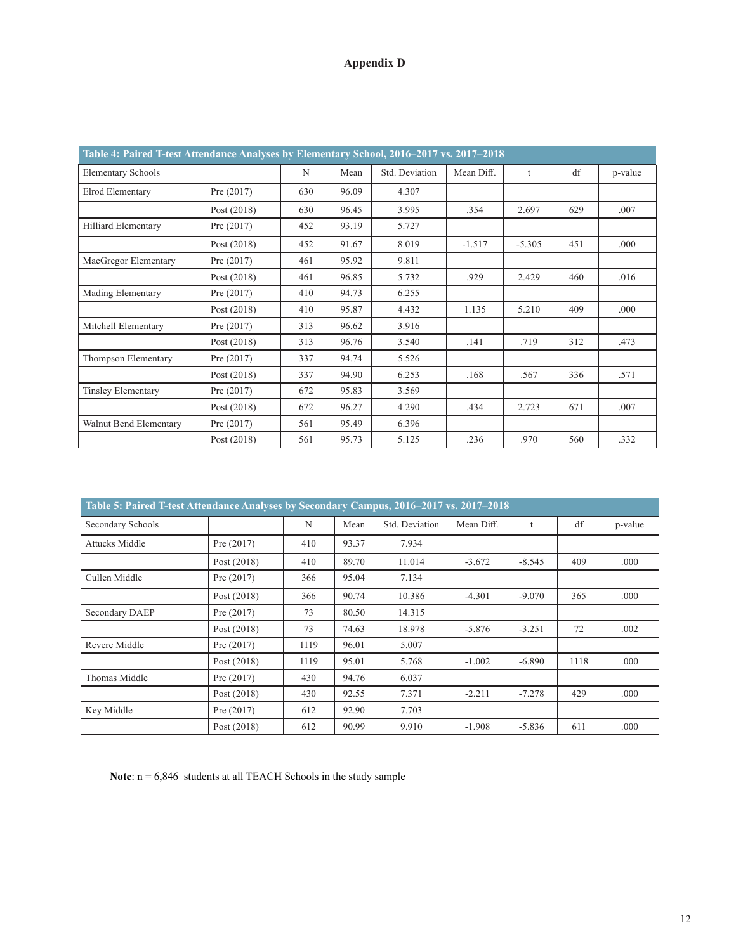### **Appendix D**

| Table 4: Paired T-test Attendance Analyses by Elementary School, 2016–2017 vs. 2017–2018 |               |     |       |                |            |          |     |         |  |
|------------------------------------------------------------------------------------------|---------------|-----|-------|----------------|------------|----------|-----|---------|--|
| <b>Elementary Schools</b>                                                                |               | N   | Mean  | Std. Deviation | Mean Diff. | t        | df  | p-value |  |
| Elrod Elementary                                                                         | Pre $(2017)$  | 630 | 96.09 | 4.307          |            |          |     |         |  |
|                                                                                          | Post (2018)   | 630 | 96.45 | 3.995          | .354       | 2.697    | 629 | .007    |  |
| Hilliard Elementary                                                                      | Pre $(2017)$  | 452 | 93.19 | 5.727          |            |          |     |         |  |
|                                                                                          | Post (2018)   | 452 | 91.67 | 8.019          | $-1.517$   | $-5.305$ | 451 | .000    |  |
| MacGregor Elementary                                                                     | Pre $(2017)$  | 461 | 95.92 | 9.811          |            |          |     |         |  |
|                                                                                          | Post $(2018)$ | 461 | 96.85 | 5.732          | .929       | 2.429    | 460 | .016    |  |
| Mading Elementary                                                                        | Pre $(2017)$  | 410 | 94.73 | 6.255          |            |          |     |         |  |
|                                                                                          | Post $(2018)$ | 410 | 95.87 | 4.432          | 1.135      | 5.210    | 409 | .000    |  |
| Mitchell Elementary                                                                      | Pre $(2017)$  | 313 | 96.62 | 3.916          |            |          |     |         |  |
|                                                                                          | Post $(2018)$ | 313 | 96.76 | 3.540          | .141       | .719     | 312 | .473    |  |
| Thompson Elementary                                                                      | Pre $(2017)$  | 337 | 94.74 | 5.526          |            |          |     |         |  |
|                                                                                          | Post $(2018)$ | 337 | 94.90 | 6.253          | .168       | .567     | 336 | .571    |  |
| <b>Tinsley Elementary</b>                                                                | Pre $(2017)$  | 672 | 95.83 | 3.569          |            |          |     |         |  |
|                                                                                          | Post $(2018)$ | 672 | 96.27 | 4.290          | .434       | 2.723    | 671 | .007    |  |
| Walnut Bend Elementary                                                                   | Pre $(2017)$  | 561 | 95.49 | 6.396          |            |          |     |         |  |
|                                                                                          | Post (2018)   | 561 | 95.73 | 5.125          | .236       | .970     | 560 | .332    |  |

| Table 5: Paired T-test Attendance Analyses by Secondary Campus, 2016–2017 vs. 2017–2018 |               |      |       |                |            |          |      |         |  |
|-----------------------------------------------------------------------------------------|---------------|------|-------|----------------|------------|----------|------|---------|--|
| Secondary Schools                                                                       |               | N    | Mean  | Std. Deviation | Mean Diff. | t        | df   | p-value |  |
| <b>Attucks Middle</b>                                                                   | Pre $(2017)$  | 410  | 93.37 | 7.934          |            |          |      |         |  |
|                                                                                         | Post (2018)   | 410  | 89.70 | 11.014         | $-3.672$   | $-8.545$ | 409  | .000    |  |
| Cullen Middle                                                                           | Pre $(2017)$  | 366  | 95.04 | 7.134          |            |          |      |         |  |
|                                                                                         | Post $(2018)$ | 366  | 90.74 | 10.386         | $-4.301$   | $-9.070$ | 365  | .000    |  |
| Secondary DAEP                                                                          | Pre $(2017)$  | 73   | 80.50 | 14.315         |            |          |      |         |  |
|                                                                                         | Post $(2018)$ | 73   | 74.63 | 18.978         | $-5.876$   | $-3.251$ | 72   | .002    |  |
| Revere Middle                                                                           | Pre $(2017)$  | 1119 | 96.01 | 5.007          |            |          |      |         |  |
|                                                                                         | Post $(2018)$ | 1119 | 95.01 | 5.768          | $-1.002$   | $-6.890$ | 1118 | .000    |  |
| Thomas Middle                                                                           | Pre $(2017)$  | 430  | 94.76 | 6.037          |            |          |      |         |  |
|                                                                                         | Post $(2018)$ | 430  | 92.55 | 7.371          | $-2.211$   | $-7.278$ | 429  | .000    |  |
| Key Middle                                                                              | Pre $(2017)$  | 612  | 92.90 | 7.703          |            |          |      |         |  |
|                                                                                         | Post (2018)   | 612  | 90.99 | 9.910          | $-1.908$   | $-5.836$ | 611  | .000    |  |

Note:  $n = 6,846$  students at all TEACH Schools in the study sample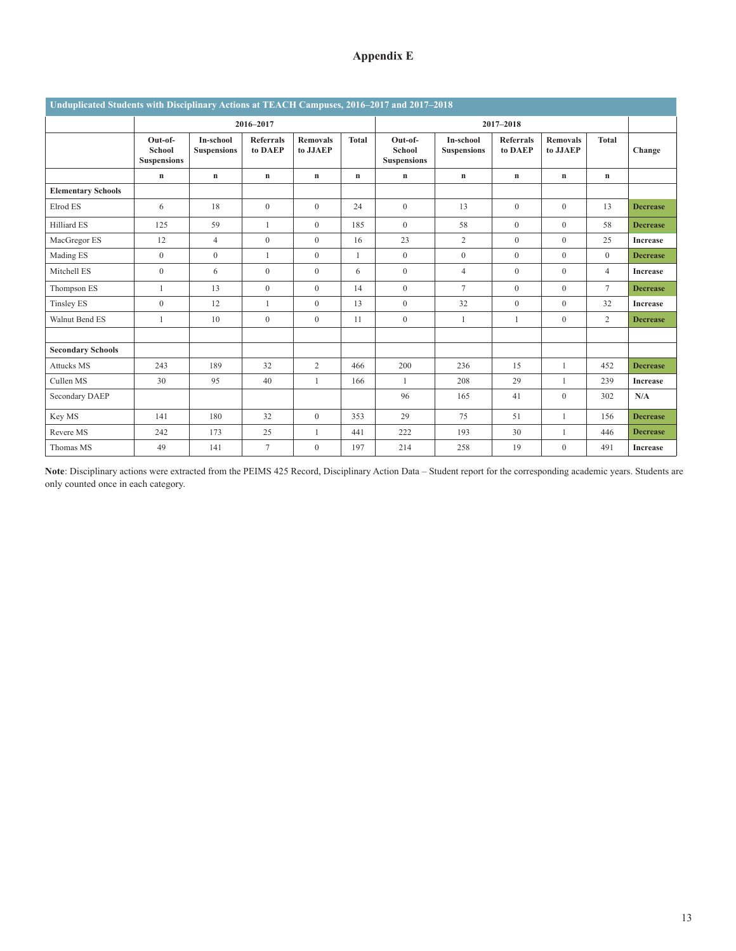#### **Appendix E**

| Unduplicated Students with Disciplinary Actions at TEACH Campuses, 2016–2017 and 2017–2018 |                                                |                                 |                             |                             |              |                                                |                                 |                             |                             |                |                 |
|--------------------------------------------------------------------------------------------|------------------------------------------------|---------------------------------|-----------------------------|-----------------------------|--------------|------------------------------------------------|---------------------------------|-----------------------------|-----------------------------|----------------|-----------------|
|                                                                                            | 2016-2017                                      |                                 |                             |                             |              | 2017-2018                                      |                                 |                             |                             |                |                 |
|                                                                                            | Out-of-<br><b>School</b><br><b>Suspensions</b> | In-school<br><b>Suspensions</b> | <b>Referrals</b><br>to DAEP | <b>Removals</b><br>to JJAEP | <b>Total</b> | Out-of-<br><b>School</b><br><b>Suspensions</b> | In-school<br><b>Suspensions</b> | <b>Referrals</b><br>to DAEP | <b>Removals</b><br>to JJAEP | <b>Total</b>   | Change          |
|                                                                                            | $\mathbf n$                                    | $\mathbf n$                     | $\mathbf n$                 | $\mathbf n$                 | n            | $\mathbf n$                                    | $\mathbf n$                     | $\mathbf n$                 | $\mathbf n$                 | $\mathbf n$    |                 |
| <b>Elementary Schools</b>                                                                  |                                                |                                 |                             |                             |              |                                                |                                 |                             |                             |                |                 |
| Elrod ES                                                                                   | 6                                              | 18                              | $\mathbf{0}$                | $\mathbf{0}$                | 24           | $\mathbf{0}$                                   | 13                              | $\overline{0}$              | $\mathbf{0}$                | 13             | <b>Decrease</b> |
| Hilliard ES                                                                                | 125                                            | 59                              | $\mathbf{1}$                | $\mathbf{0}$                | 185          | $\mathbf{0}$                                   | 58                              | $\overline{0}$              | $\mathbf{0}$                | 58             | <b>Decrease</b> |
| MacGregor ES                                                                               | 12                                             | $\overline{4}$                  | $\boldsymbol{0}$            | $\boldsymbol{0}$            | 16           | 23                                             | $\overline{c}$                  | $\overline{0}$              | $\mathbf{0}$                | 25             | <b>Increase</b> |
| Mading ES                                                                                  | $\overline{0}$                                 | $\mathbf{0}$                    | $\mathbf{1}$                | $\mathbf{0}$                | $\mathbf{1}$ | $\mathbf{0}$                                   | $\mathbf{0}$                    | $\overline{0}$              | $\mathbf{0}$                | $\mathbf{0}$   | <b>Decrease</b> |
| Mitchell ES                                                                                | $\theta$                                       | 6                               | $\mathbf{0}$                | $\mathbf{0}$                | 6            | $\mathbf{0}$                                   | $\overline{4}$                  | $\Omega$                    | $\theta$                    | $\overline{4}$ | <b>Increase</b> |
| Thompson ES                                                                                |                                                | 13                              | $\mathbf{0}$                | $\mathbf{0}$                | 14           | $\mathbf{0}$                                   | $\overline{7}$                  | $\overline{0}$              | $\mathbf{0}$                | $\overline{7}$ | <b>Decrease</b> |
| <b>Tinsley ES</b>                                                                          | $\theta$                                       | 12                              | $\mathbf{1}$                | $\boldsymbol{0}$            | 13           | $\mathbf{0}$                                   | 32                              | $\overline{0}$              | $\mathbf{0}$                | 32             | <b>Increase</b> |
| Walnut Bend ES                                                                             | 1                                              | 10                              | $\mathbf{0}$                | $\boldsymbol{0}$            | 11           | $\overline{0}$                                 | $\mathbf{1}$                    | $\mathbf{1}$                | $\mathbf{0}$                | 2              | <b>Decrease</b> |
|                                                                                            |                                                |                                 |                             |                             |              |                                                |                                 |                             |                             |                |                 |
| <b>Secondary Schools</b>                                                                   |                                                |                                 |                             |                             |              |                                                |                                 |                             |                             |                |                 |
| <b>Attucks MS</b>                                                                          | 243                                            | 189                             | 32                          | 2                           | 466          | 200                                            | 236                             | 15                          | $\mathbf{1}$                | 452            | <b>Decrease</b> |
| Cullen MS                                                                                  | 30                                             | 95                              | 40                          | $\mathbf{1}$                | 166          | $\overline{1}$                                 | 208                             | 29                          | $\mathbf{1}$                | 239            | <b>Increase</b> |
| Secondary DAEP                                                                             |                                                |                                 |                             |                             |              | 96                                             | 165                             | 41                          | $\mathbf{0}$                | 302            | N/A             |
| Key MS                                                                                     | 141                                            | 180                             | 32                          | $\overline{0}$              | 353          | 29                                             | 75                              | 51                          | $\mathbf{1}$                | 156            | <b>Decrease</b> |
| Revere MS                                                                                  | 242                                            | 173                             | 25                          | $\mathbf{1}$                | 441          | 222                                            | 193                             | 30                          | 1                           | 446            | <b>Decrease</b> |
| Thomas MS                                                                                  | 49                                             | 141                             | $\overline{7}$              | $\overline{0}$              | 197          | 214                                            | 258                             | 19                          | $\mathbf{0}$                | 491            | <b>Increase</b> |

**Note**: Disciplinary actions were extracted from the PEIMS 425 Record, Disciplinary Action Data – Student report for the corresponding academic years. Students are only counted once in each category.